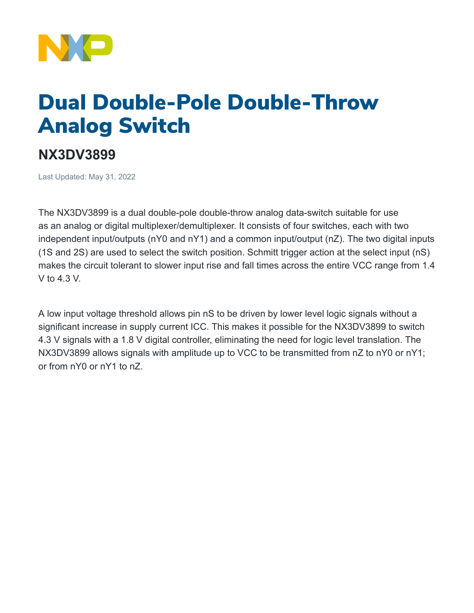

## Dual Double-Pole Double-Throw Analog Switch

## **NX3DV3899**

Last Updated: May 31, 2022

The NX3DV3899 is a dual double-pole double-throw analog data-switch suitable for use as an analog or digital multiplexer/demultiplexer. It consists of four switches, each with two independent input/outputs (nY0 and nY1) and a common input/output (nZ). The two digital inputs (1S and 2S) are used to select the switch position. Schmitt trigger action at the select input (nS) makes the circuit tolerant to slower input rise and fall times across the entire VCC range from 1.4 V to 4.3 V.

A low input voltage threshold allows pin nS to be driven by lower level logic signals without a significant increase in supply current ICC. This makes it possible for the NX3DV3899 to switch 4.3 V signals with a 1.8 V digital controller, eliminating the need for logic level translation. The NX3DV3899 allows signals with amplitude up to VCC to be transmitted from nZ to nY0 or nY1; or from nY0 or nY1 to nZ.